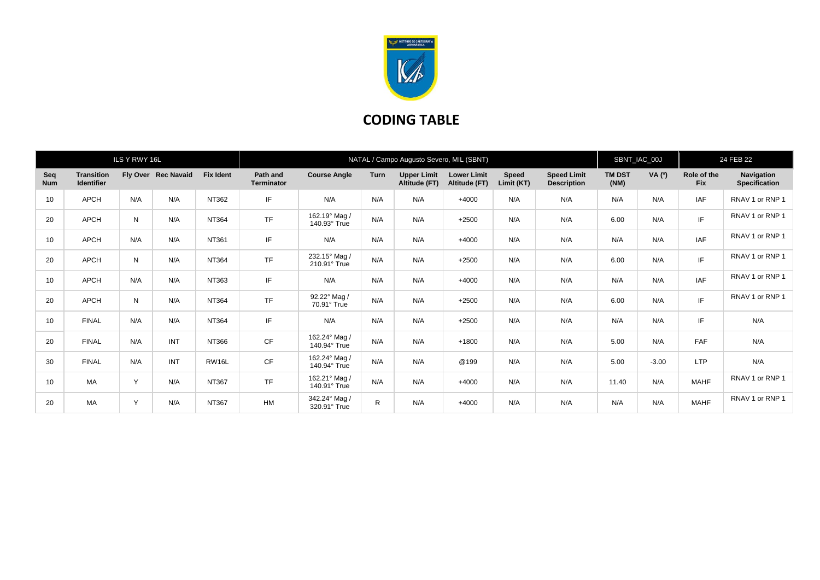

## **CODING TABLE**

| ILS Y RWY 16L     |                                        |     |                     |                  | NATAL / Campo Augusto Severo, MIL (SBNT) |                               |              |                                     |                                     |                     |                                          |                       | SBNT_IAC_00J |                           | 24 FEB 22                          |  |
|-------------------|----------------------------------------|-----|---------------------|------------------|------------------------------------------|-------------------------------|--------------|-------------------------------------|-------------------------------------|---------------------|------------------------------------------|-----------------------|--------------|---------------------------|------------------------------------|--|
| Seq<br><b>Num</b> | <b>Transition</b><br><b>Identifier</b> |     | Fly Over Rec Navaid | <b>Fix Ident</b> | Path and<br><b>Terminator</b>            | <b>Course Angle</b>           | <b>Turn</b>  | <b>Upper Limit</b><br>Altitude (FT) | <b>Lower Limit</b><br>Altitude (FT) | Speed<br>Limit (KT) | <b>Speed Limit</b><br><b>Description</b> | <b>TM DST</b><br>(NM) | VA (0)       | Role of the<br><b>Fix</b> | Navigation<br><b>Specification</b> |  |
| 10                | <b>APCH</b>                            | N/A | N/A                 | NT362            | IF                                       | N/A                           | N/A          | N/A                                 | $+4000$                             | N/A                 | N/A                                      | N/A                   | N/A          | <b>IAF</b>                | RNAV 1 or RNP 1                    |  |
| 20                | <b>APCH</b>                            | N   | N/A                 | NT364            | <b>TF</b>                                | 162.19° Mag /<br>140.93° True | N/A          | N/A                                 | $+2500$                             | N/A                 | N/A                                      | 6.00                  | N/A          | IF                        | RNAV 1 or RNP 1                    |  |
| 10                | APCH                                   | N/A | N/A                 | NT361            | IF                                       | N/A                           | N/A          | N/A                                 | $+4000$                             | N/A                 | N/A                                      | N/A                   | N/A          | <b>IAF</b>                | RNAV 1 or RNP 1                    |  |
| 20                | APCH                                   | N   | N/A                 | NT364            | <b>TF</b>                                | 232.15° Mag /<br>210.91° True | N/A          | N/A                                 | $+2500$                             | N/A                 | N/A                                      | 6.00                  | N/A          | IF.                       | RNAV 1 or RNP 1                    |  |
| 10                | APCH                                   | N/A | N/A                 | NT363            | IF                                       | N/A                           | N/A          | N/A                                 | $+4000$                             | N/A                 | N/A                                      | N/A                   | N/A          | <b>IAF</b>                | RNAV 1 or RNP 1                    |  |
| 20                | APCH                                   | N   | N/A                 | <b>NT364</b>     | <b>TF</b>                                | 92.22° Mag /<br>70.91° True   | N/A          | N/A                                 | $+2500$                             | N/A                 | N/A                                      | 6.00                  | N/A          | IF                        | RNAV 1 or RNP 1                    |  |
| 10                | <b>FINAL</b>                           | N/A | N/A                 | NT364            | IF                                       | N/A                           | N/A          | N/A                                 | $+2500$                             | N/A                 | N/A                                      | N/A                   | N/A          | IF                        | N/A                                |  |
| 20                | <b>FINAL</b>                           | N/A | INT                 | NT366            | <b>CF</b>                                | 162.24° Mag /<br>140.94° True | N/A          | N/A                                 | $+1800$                             | N/A                 | N/A                                      | 5.00                  | N/A          | <b>FAF</b>                | N/A                                |  |
| 30                | <b>FINAL</b>                           | N/A | INT                 | RW16L            | <b>CF</b>                                | 162.24° Mag /<br>140.94° True | N/A          | N/A                                 | @199                                | N/A                 | N/A                                      | 5.00                  | $-3.00$      | <b>LTP</b>                | N/A                                |  |
| 10                | MA                                     | Y   | N/A                 | NT367            | <b>TF</b>                                | 162.21° Mag /<br>140.91° True | N/A          | N/A                                 | $+4000$                             | N/A                 | N/A                                      | 11.40                 | N/A          | <b>MAHF</b>               | RNAV 1 or RNP 1                    |  |
| 20                | MA                                     | Y   | N/A                 | NT367            | <b>HM</b>                                | 342.24° Mag /<br>320.91° True | $\mathsf{R}$ | N/A                                 | $+4000$                             | N/A                 | N/A                                      | N/A                   | N/A          | <b>MAHF</b>               | RNAV 1 or RNP 1                    |  |